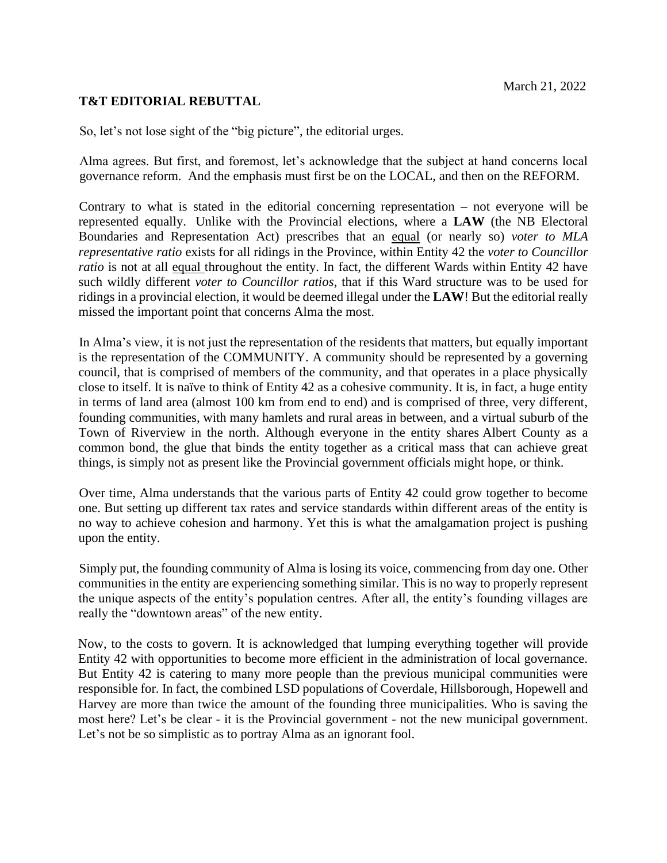## **T&T EDITORIAL REBUTTAL**

So, let's not lose sight of the "big picture", the editorial urges.

Alma agrees. But first, and foremost, let's acknowledge that the subject at hand concerns local governance reform. And the emphasis must first be on the LOCAL, and then on the REFORM.

Contrary to what is stated in the editorial concerning representation – not everyone will be represented equally. Unlike with the Provincial elections, where a **LAW** (the NB Electoral Boundaries and Representation Act) prescribes that an equal (or nearly so) *voter to MLA representative ratio* exists for all ridings in the Province, within Entity 42 the *voter to Councillor ratio* is not at all equal throughout the entity. In fact, the different Wards within Entity 42 have such wildly different *voter to Councillor ratios*, that if this Ward structure was to be used for ridings in a provincial election, it would be deemed illegal under the **LAW**! But the editorial really missed the important point that concerns Alma the most.

In Alma's view, it is not just the representation of the residents that matters, but equally important is the representation of the COMMUNITY. A community should be represented by a governing council, that is comprised of members of the community, and that operates in a place physically close to itself. It is naïve to think of Entity 42 as a cohesive community. It is, in fact, a huge entity in terms of land area (almost 100 km from end to end) and is comprised of three, very different, founding communities, with many hamlets and rural areas in between, and a virtual suburb of the Town of Riverview in the north. Although everyone in the entity shares Albert County as a common bond, the glue that binds the entity together as a critical mass that can achieve great things, is simply not as present like the Provincial government officials might hope, or think.

Over time, Alma understands that the various parts of Entity 42 could grow together to become one. But setting up different tax rates and service standards within different areas of the entity is no way to achieve cohesion and harmony. Yet this is what the amalgamation project is pushing upon the entity.

Simply put, the founding community of Alma is losing its voice, commencing from day one. Other communities in the entity are experiencing something similar. This is no way to properly represent the unique aspects of the entity's population centres. After all, the entity's founding villages are really the "downtown areas" of the new entity.

Now, to the costs to govern. It is acknowledged that lumping everything together will provide Entity 42 with opportunities to become more efficient in the administration of local governance. But Entity 42 is catering to many more people than the previous municipal communities were responsible for. In fact, the combined LSD populations of Coverdale, Hillsborough, Hopewell and Harvey are more than twice the amount of the founding three municipalities. Who is saving the most here? Let's be clear - it is the Provincial government - not the new municipal government. Let's not be so simplistic as to portray Alma as an ignorant fool.